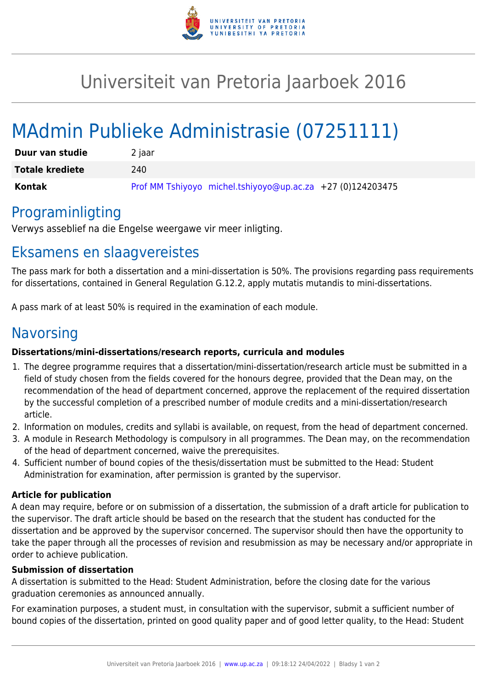

## Universiteit van Pretoria Jaarboek 2016

# MAdmin Publieke Administrasie (07251111)

| Duur van studie        | 2 jaar                                                     |
|------------------------|------------------------------------------------------------|
| <b>Totale krediete</b> | 240                                                        |
| Kontak                 | Prof MM Tshiyoyo michel.tshiyoyo@up.ac.za +27 (0)124203475 |

### Programinligting

Verwys asseblief na die Engelse weergawe vir meer inligting.

### Eksamens en slaagvereistes

The pass mark for both a dissertation and a mini-dissertation is 50%. The provisions regarding pass requirements for dissertations, contained in General Regulation G.12.2, apply mutatis mutandis to mini-dissertations.

A pass mark of at least 50% is required in the examination of each module.

### Navorsing

#### **Dissertations/mini-dissertations/research reports, curricula and modules**

- 1. The degree programme requires that a dissertation/mini-dissertation/research article must be submitted in a field of study chosen from the fields covered for the honours degree, provided that the Dean may, on the recommendation of the head of department concerned, approve the replacement of the required dissertation by the successful completion of a prescribed number of module credits and a mini-dissertation/research article.
- 2. Information on modules, credits and syllabi is available, on request, from the head of department concerned.
- 3. A module in Research Methodology is compulsory in all programmes. The Dean may, on the recommendation of the head of department concerned, waive the prerequisites.
- 4. Sufficient number of bound copies of the thesis/dissertation must be submitted to the Head: Student Administration for examination, after permission is granted by the supervisor.

#### **Article for publication**

A dean may require, before or on submission of a dissertation, the submission of a draft article for publication to the supervisor. The draft article should be based on the research that the student has conducted for the dissertation and be approved by the supervisor concerned. The supervisor should then have the opportunity to take the paper through all the processes of revision and resubmission as may be necessary and/or appropriate in order to achieve publication.

#### **Submission of dissertation**

A dissertation is submitted to the Head: Student Administration, before the closing date for the various graduation ceremonies as announced annually.

For examination purposes, a student must, in consultation with the supervisor, submit a sufficient number of bound copies of the dissertation, printed on good quality paper and of good letter quality, to the Head: Student